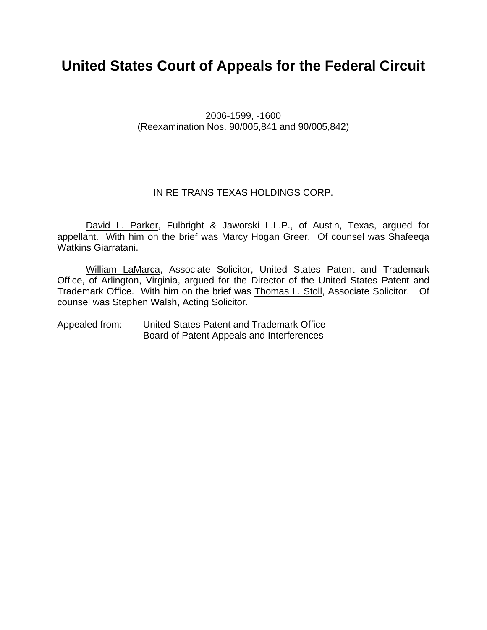# **United States Court of Appeals for the Federal Circuit**

2006-1599, -1600 (Reexamination Nos. 90/005,841 and 90/005,842)

### IN RE TRANS TEXAS HOLDINGS CORP.

David L. Parker, Fulbright & Jaworski L.L.P., of Austin, Texas, argued for appellant. With him on the brief was Marcy Hogan Greer. Of counsel was Shafeeqa Watkins Giarratani.

William LaMarca, Associate Solicitor, United States Patent and Trademark Office, of Arlington, Virginia, argued for the Director of the United States Patent and Trademark Office. With him on the brief was Thomas L. Stoll, Associate Solicitor. Of counsel was Stephen Walsh, Acting Solicitor.

Appealed from: United States Patent and Trademark Office Board of Patent Appeals and Interferences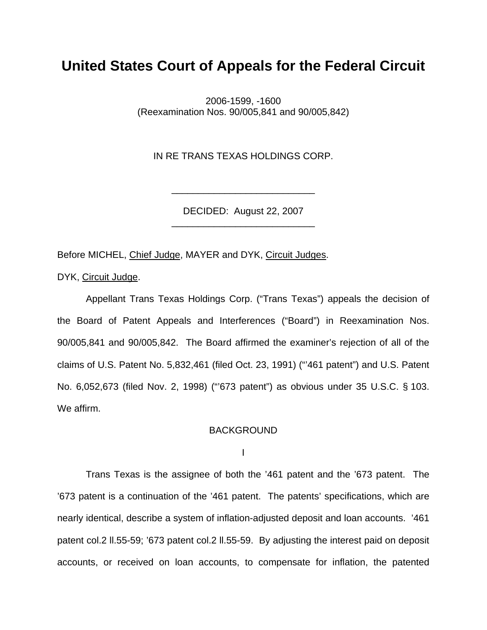## **United States Court of Appeals for the Federal Circuit**

2006-1599, -1600 (Reexamination Nos. 90/005,841 and 90/005,842)

IN RE TRANS TEXAS HOLDINGS CORP.

DECIDED: August 22, 2007 \_\_\_\_\_\_\_\_\_\_\_\_\_\_\_\_\_\_\_\_\_\_\_\_\_\_\_

\_\_\_\_\_\_\_\_\_\_\_\_\_\_\_\_\_\_\_\_\_\_\_\_\_\_\_

Before MICHEL, Chief Judge, MAYER and DYK, Circuit Judges.

DYK, Circuit Judge.

 Appellant Trans Texas Holdings Corp. ("Trans Texas") appeals the decision of the Board of Patent Appeals and Interferences ("Board") in Reexamination Nos. 90/005,841 and 90/005,842. The Board affirmed the examiner's rejection of all of the claims of U.S. Patent No. 5,832,461 (filed Oct. 23, 1991) ("'461 patent") and U.S. Patent No. 6,052,673 (filed Nov. 2, 1998) ("'673 patent") as obvious under 35 U.S.C. § 103. We affirm.

#### BACKGROUND

I

 Trans Texas is the assignee of both the '461 patent and the '673 patent. The '673 patent is a continuation of the '461 patent. The patents' specifications, which are nearly identical, describe a system of inflation-adjusted deposit and loan accounts. '461 patent col.2 ll.55-59; '673 patent col.2 ll.55-59. By adjusting the interest paid on deposit accounts, or received on loan accounts, to compensate for inflation, the patented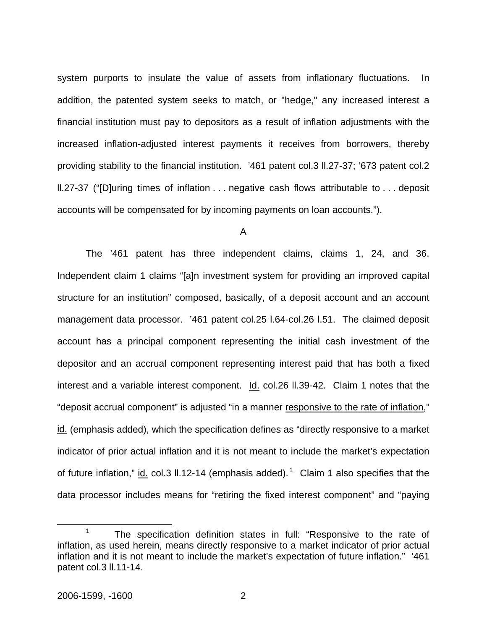system purports to insulate the value of assets from inflationary fluctuations. In addition, the patented system seeks to match, or "hedge," any increased interest a financial institution must pay to depositors as a result of inflation adjustments with the increased inflation-adjusted interest payments it receives from borrowers, thereby providing stability to the financial institution. '461 patent col.3 ll.27-37; '673 patent col.2 ll.27-37 ("[D]uring times of inflation . . . negative cash flows attributable to . . . deposit accounts will be compensated for by incoming payments on loan accounts.").

A

 The '461 patent has three independent claims, claims 1, 24, and 36. Independent claim 1 claims "[a]n investment system for providing an improved capital structure for an institution" composed, basically, of a deposit account and an account management data processor. '461 patent col.25 l.64-col.26 l.51. The claimed deposit account has a principal component representing the initial cash investment of the depositor and an accrual component representing interest paid that has both a fixed interest and a variable interest component. Id. col.26 ll.39-42. Claim 1 notes that the "deposit accrual component" is adjusted "in a manner responsive to the rate of inflation," id. (emphasis added), which the specification defines as "directly responsive to a market indicator of prior actual inflation and it is not meant to include the market's expectation of future inflation," id. col.3 ll.12-14 (emphasis added).<sup>1</sup> Claim 1 also specifies that the data processor includes means for "retiring the fixed interest component" and "paying

 <sup>1</sup>  $1$  The specification definition states in full: "Responsive to the rate of inflation, as used herein, means directly responsive to a market indicator of prior actual inflation and it is not meant to include the market's expectation of future inflation." '461 patent col.3 ll.11-14.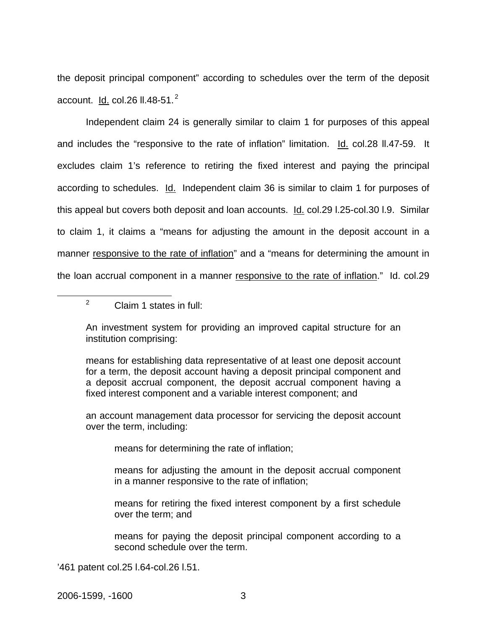the deposit principal component" according to schedules over the term of the deposit account.  $\underline{\mathsf{Id.}}$  col.26 ll.48-51.<sup>2</sup>

Independent claim 24 is generally similar to claim 1 for purposes of this appeal and includes the "responsive to the rate of inflation" limitation. Id. col.28 II.47-59. It excludes claim 1's reference to retiring the fixed interest and paying the principal according to schedules. Id. Independent claim 36 is similar to claim 1 for purposes of this appeal but covers both deposit and loan accounts. Id. col.29 I.25-col.30 I.9. Similar to claim 1, it claims a "means for adjusting the amount in the deposit account in a manner responsive to the rate of inflation" and a "means for determining the amount in the loan accrual component in a manner responsive to the rate of inflation." Id. col.29

 $\frac{1}{2}$  $2^2$  Claim 1 states in full:

> An investment system for providing an improved capital structure for an institution comprising:

> means for establishing data representative of at least one deposit account for a term, the deposit account having a deposit principal component and a deposit accrual component, the deposit accrual component having a fixed interest component and a variable interest component; and

> an account management data processor for servicing the deposit account over the term, including:

means for determining the rate of inflation;

means for adjusting the amount in the deposit accrual component in a manner responsive to the rate of inflation;

means for retiring the fixed interest component by a first schedule over the term; and

means for paying the deposit principal component according to a second schedule over the term.

'461 patent col.25 l.64-col.26 l.51.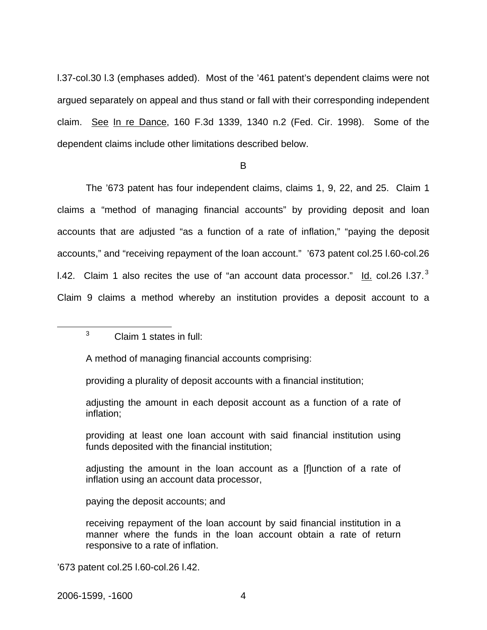l.37-col.30 l.3 (emphases added). Most of the '461 patent's dependent claims were not argued separately on appeal and thus stand or fall with their corresponding independent claim. See In re Dance, 160 F.3d 1339, 1340 n.2 (Fed. Cir. 1998). Some of the dependent claims include other limitations described below.

B

 The '673 patent has four independent claims, claims 1, 9, 22, and 25. Claim 1 claims a "method of managing financial accounts" by providing deposit and loan accounts that are adjusted "as a function of a rate of inflation," "paying the deposit accounts," and "receiving repayment of the loan account." '673 patent col.25 l.60-col.26 1.42. Claim 1 also recites the use of "an account data processor."  $\underline{\mathsf{Id}}$  col.26 l.37. $^3$ Claim 9 claims a method whereby an institution provides a deposit account to a

 $\frac{1}{3}$  $3$  Claim 1 states in full:

A method of managing financial accounts comprising:

providing a plurality of deposit accounts with a financial institution;

adjusting the amount in each deposit account as a function of a rate of inflation;

providing at least one loan account with said financial institution using funds deposited with the financial institution;

adjusting the amount in the loan account as a [f]unction of a rate of inflation using an account data processor,

paying the deposit accounts; and

receiving repayment of the loan account by said financial institution in a manner where the funds in the loan account obtain a rate of return responsive to a rate of inflation.

'673 patent col.25 l.60-col.26 l.42.

2006-1599, -1600 4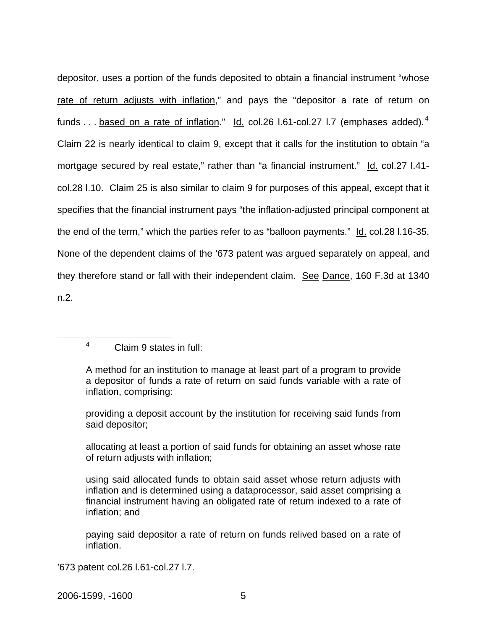depositor, uses a portion of the funds deposited to obtain a financial instrument "whose rate of return adjusts with inflation," and pays the "depositor a rate of return on funds  $\ldots$  based on a rate of inflation." Id. col.26 l.61-col.27 l.7 (emphases added).<sup>4</sup> Claim 22 is nearly identical to claim 9, except that it calls for the institution to obtain "a mortgage secured by real estate," rather than "a financial instrument." Id. col.27 I.41col.28 l.10. Claim 25 is also similar to claim 9 for purposes of this appeal, except that it specifies that the financial instrument pays "the inflation-adjusted principal component at the end of the term," which the parties refer to as "balloon payments." Id. col.28 I.16-35. None of the dependent claims of the '673 patent was argued separately on appeal, and they therefore stand or fall with their independent claim. See Dance, 160 F.3d at 1340 n.2.

 4 Claim 9 states in full:

> A method for an institution to manage at least part of a program to provide a depositor of funds a rate of return on said funds variable with a rate of inflation, comprising:

> providing a deposit account by the institution for receiving said funds from said depositor;

> allocating at least a portion of said funds for obtaining an asset whose rate of return adjusts with inflation;

> using said allocated funds to obtain said asset whose return adjusts with inflation and is determined using a dataprocessor, said asset comprising a financial instrument having an obligated rate of return indexed to a rate of inflation; and

> paying said depositor a rate of return on funds relived based on a rate of inflation.

'673 patent col.26 l.61-col.27 l.7.

2006-1599, -1600 5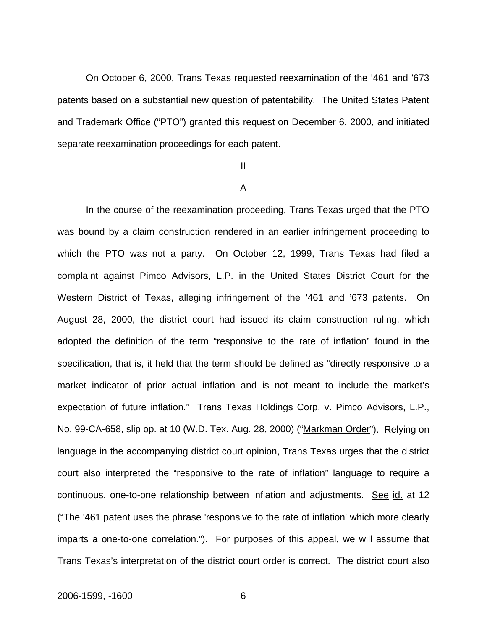On October 6, 2000, Trans Texas requested reexamination of the '461 and '673 patents based on a substantial new question of patentability. The United States Patent and Trademark Office ("PTO") granted this request on December 6, 2000, and initiated separate reexamination proceedings for each patent.

#### II

#### A

 In the course of the reexamination proceeding, Trans Texas urged that the PTO was bound by a claim construction rendered in an earlier infringement proceeding to which the PTO was not a party. On October 12, 1999, Trans Texas had filed a complaint against Pimco Advisors, L.P. in the United States District Court for the Western District of Texas, alleging infringement of the '461 and '673 patents. On August 28, 2000, the district court had issued its claim construction ruling, which adopted the definition of the term "responsive to the rate of inflation" found in the specification, that is, it held that the term should be defined as "directly responsive to a market indicator of prior actual inflation and is not meant to include the market's expectation of future inflation." Trans Texas Holdings Corp. v. Pimco Advisors, L.P., No. 99-CA-658, slip op. at 10 (W.D. Tex. Aug. 28, 2000) ("Markman Order"). Relying on language in the accompanying district court opinion, Trans Texas urges that the district court also interpreted the "responsive to the rate of inflation" language to require a continuous, one-to-one relationship between inflation and adjustments. See id. at 12 ("The '461 patent uses the phrase 'responsive to the rate of inflation' which more clearly imparts a one-to-one correlation.").For purposes of this appeal, we will assume that Trans Texas's interpretation of the district court order is correct. The district court also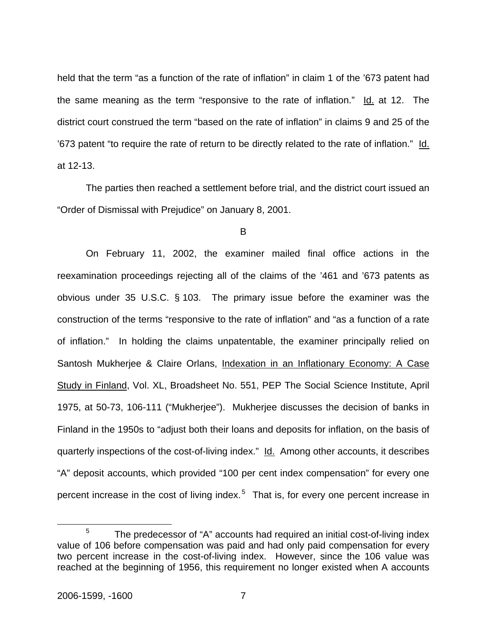held that the term "as a function of the rate of inflation" in claim 1 of the '673 patent had the same meaning as the term "responsive to the rate of inflation."  $\text{Id.}$  at 12. The district court construed the term "based on the rate of inflation" in claims 9 and 25 of the '673 patent "to require the rate of return to be directly related to the rate of inflation." Id. at 12-13.

 The parties then reached a settlement before trial, and the district court issued an "Order of Dismissal with Prejudice" on January 8, 2001.

B

 On February 11, 2002, the examiner mailed final office actions in the reexamination proceedings rejecting all of the claims of the '461 and '673 patents as obvious under 35 U.S.C. § 103. The primary issue before the examiner was the construction of the terms "responsive to the rate of inflation" and "as a function of a rate of inflation." In holding the claims unpatentable, the examiner principally relied on Santosh Mukherjee & Claire Orlans, Indexation in an Inflationary Economy: A Case Study in Finland, Vol. XL, Broadsheet No. 551, PEP The Social Science Institute, April 1975, at 50-73, 106-111 ("Mukherjee"). Mukherjee discusses the decision of banks in Finland in the 1950s to "adjust both their loans and deposits for inflation, on the basis of quarterly inspections of the cost-of-living index." Id. Among other accounts, it describes "A" deposit accounts, which provided "100 per cent index compensation" for every one percent increase in the cost of living index.<sup>5</sup> That is, for every one percent increase in

 $\frac{1}{5}$  $5$  The predecessor of "A" accounts had required an initial cost-of-living index value of 106 before compensation was paid and had only paid compensation for every two percent increase in the cost-of-living index. However, since the 106 value was reached at the beginning of 1956, this requirement no longer existed when A accounts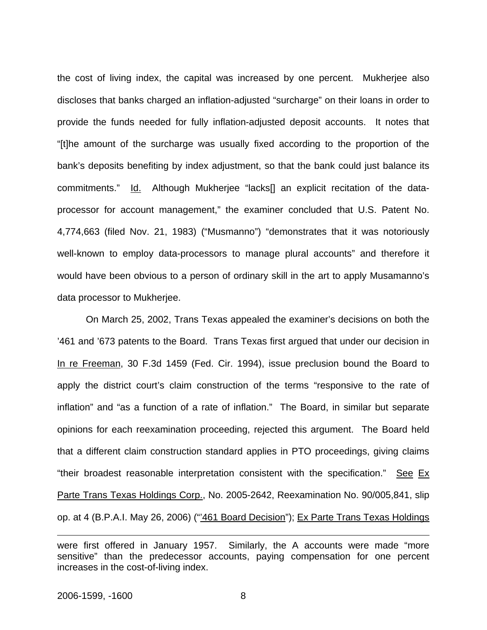the cost of living index, the capital was increased by one percent. Mukherjee also discloses that banks charged an inflation-adjusted "surcharge" on their loans in order to provide the funds needed for fully inflation-adjusted deposit accounts. It notes that "[t]he amount of the surcharge was usually fixed according to the proportion of the bank's deposits benefiting by index adjustment, so that the bank could just balance its commitments." Id. Although Mukherjee "lacks[] an explicit recitation of the dataprocessor for account management," the examiner concluded that U.S. Patent No. 4,774,663 (filed Nov. 21, 1983) ("Musmanno") "demonstrates that it was notoriously well-known to employ data-processors to manage plural accounts" and therefore it would have been obvious to a person of ordinary skill in the art to apply Musamanno's data processor to Mukherjee.

 On March 25, 2002, Trans Texas appealed the examiner's decisions on both the '461 and '673 patents to the Board. Trans Texas first argued that under our decision in In re Freeman, 30 F.3d 1459 (Fed. Cir. 1994), issue preclusion bound the Board to apply the district court's claim construction of the terms "responsive to the rate of inflation" and "as a function of a rate of inflation." The Board, in similar but separate opinions for each reexamination proceeding, rejected this argument. The Board held that a different claim construction standard applies in PTO proceedings, giving claims "their broadest reasonable interpretation consistent with the specification." See Ex Parte Trans Texas Holdings Corp., No. 2005-2642, Reexamination No. 90/005,841, slip op. at 4 (B.P.A.I. May 26, 2006) ("'461 Board Decision"); Ex Parte Trans Texas Holdings

 $\overline{a}$ 

were first offered in January 1957. Similarly, the A accounts were made "more sensitive" than the predecessor accounts, paying compensation for one percent increases in the cost-of-living index.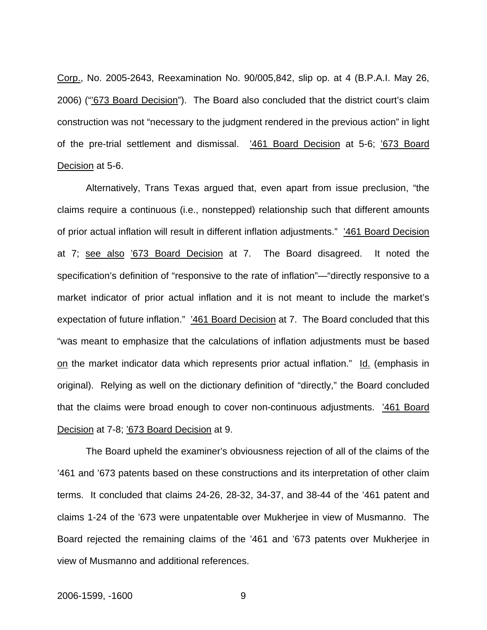Corp., No. 2005-2643, Reexamination No. 90/005,842, slip op. at 4 (B.P.A.I. May 26, 2006) ("673 Board Decision"). The Board also concluded that the district court's claim construction was not "necessary to the judgment rendered in the previous action" in light of the pre-trial settlement and dismissal. '461 Board Decision at 5-6; '673 Board Decision at 5-6.

Alternatively, Trans Texas argued that, even apart from issue preclusion, "the claims require a continuous (i.e., nonstepped) relationship such that different amounts of prior actual inflation will result in different inflation adjustments." '461 Board Decision at 7; see also '673 Board Decision at 7. The Board disagreed. It noted the specification's definition of "responsive to the rate of inflation"—"directly responsive to a market indicator of prior actual inflation and it is not meant to include the market's expectation of future inflation." '461 Board Decision at 7. The Board concluded that this "was meant to emphasize that the calculations of inflation adjustments must be based on the market indicator data which represents prior actual inflation." Id. (emphasis in original). Relying as well on the dictionary definition of "directly," the Board concluded that the claims were broad enough to cover non-continuous adjustments. '461 Board Decision at 7-8; '673 Board Decision at 9.

 The Board upheld the examiner's obviousness rejection of all of the claims of the '461 and '673 patents based on these constructions and its interpretation of other claim terms. It concluded that claims 24-26, 28-32, 34-37, and 38-44 of the '461 patent and claims 1-24 of the '673 were unpatentable over Mukherjee in view of Musmanno. The Board rejected the remaining claims of the '461 and '673 patents over Mukherjee in view of Musmanno and additional references.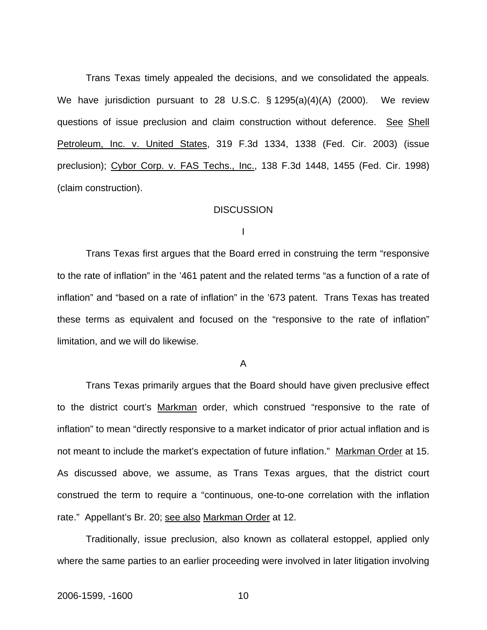Trans Texas timely appealed the decisions, and we consolidated the appeals. We have jurisdiction pursuant to 28 U.S.C. § 1295(a)(4)(A) (2000). We review questions of issue preclusion and claim construction without deference. See Shell Petroleum, Inc. v. United States, 319 F.3d 1334, 1338 (Fed. Cir. 2003) (issue preclusion); Cybor Corp. v. FAS Techs., Inc., 138 F.3d 1448, 1455 (Fed. Cir. 1998) (claim construction).

#### **DISCUSSION**

I

 Trans Texas first argues that the Board erred in construing the term "responsive to the rate of inflation" in the '461 patent and the related terms "as a function of a rate of inflation" and "based on a rate of inflation" in the '673 patent. Trans Texas has treated these terms as equivalent and focused on the "responsive to the rate of inflation" limitation, and we will do likewise.

A

 Trans Texas primarily argues that the Board should have given preclusive effect to the district court's Markman order, which construed "responsive to the rate of inflation" to mean "directly responsive to a market indicator of prior actual inflation and is not meant to include the market's expectation of future inflation." Markman Order at 15. As discussed above, we assume, as Trans Texas argues, that the district court construed the term to require a "continuous, one-to-one correlation with the inflation rate." Appellant's Br. 20; see also Markman Order at 12.

Traditionally, issue preclusion, also known as collateral estoppel, applied only where the same parties to an earlier proceeding were involved in later litigation involving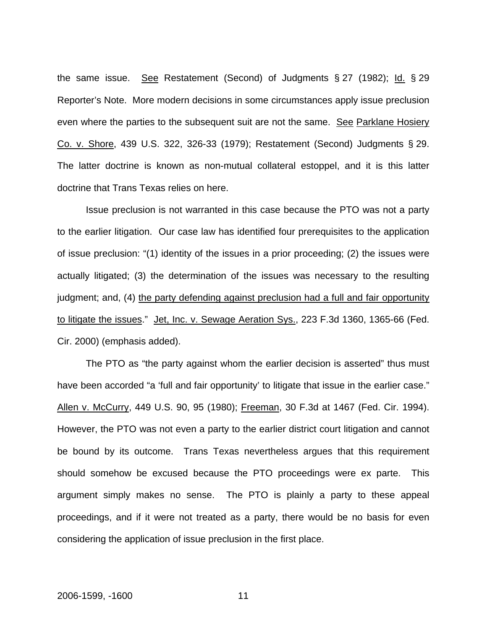the same issue. See Restatement (Second) of Judgments § 27 (1982); Id. § 29 Reporter's Note. More modern decisions in some circumstances apply issue preclusion even where the parties to the subsequent suit are not the same. See Parklane Hosiery Co. v. Shore, 439 U.S. 322, 326-33 (1979); Restatement (Second) Judgments § 29. The latter doctrine is known as non-mutual collateral estoppel, and it is this latter doctrine that Trans Texas relies on here.

Issue preclusion is not warranted in this case because the PTO was not a party to the earlier litigation. Our case law has identified four prerequisites to the application of issue preclusion: "(1) identity of the issues in a prior proceeding; (2) the issues were actually litigated; (3) the determination of the issues was necessary to the resulting judgment; and, (4) the party defending against preclusion had a full and fair opportunity to litigate the issues." Jet, Inc. v. Sewage Aeration Sys., 223 F.3d 1360, 1365-66 (Fed. Cir. 2000) (emphasis added).

 The PTO as "the party against whom the earlier decision is asserted" thus must have been accorded "a 'full and fair opportunity' to litigate that issue in the earlier case." Allen v. McCurry, 449 U.S. 90, 95 (1980); Freeman, 30 F.3d at 1467 (Fed. Cir. 1994). However, the PTO was not even a party to the earlier district court litigation and cannot be bound by its outcome. Trans Texas nevertheless argues that this requirement should somehow be excused because the PTO proceedings were ex parte. This argument simply makes no sense. The PTO is plainly a party to these appeal proceedings, and if it were not treated as a party, there would be no basis for even considering the application of issue preclusion in the first place.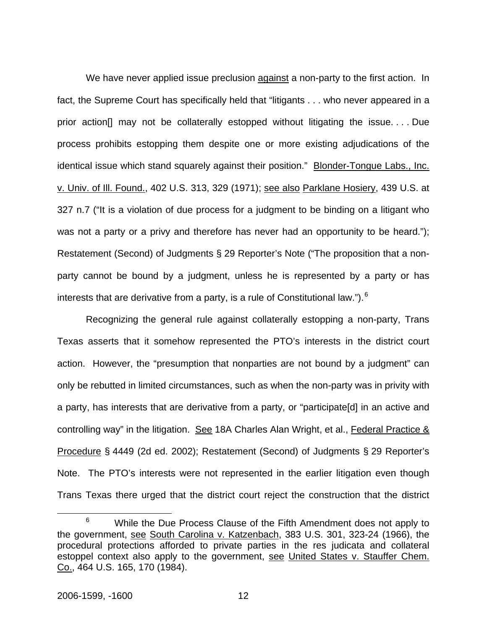We have never applied issue preclusion against a non-party to the first action. In fact, the Supreme Court has specifically held that "litigants . . . who never appeared in a prior action[] may not be collaterally estopped without litigating the issue. . . . Due process prohibits estopping them despite one or more existing adjudications of the identical issue which stand squarely against their position." Blonder-Tongue Labs., Inc. v. Univ. of Ill. Found., 402 U.S. 313, 329 (1971); see also Parklane Hosiery, 439 U.S. at 327 n.7 ("It is a violation of due process for a judgment to be binding on a litigant who was not a party or a privy and therefore has never had an opportunity to be heard."); Restatement (Second) of Judgments § 29 Reporter's Note ("The proposition that a nonparty cannot be bound by a judgment, unless he is represented by a party or has interests that are derivative from a party, is a rule of Constitutional law.").  $6$ 

Recognizing the general rule against collaterally estopping a non-party, Trans Texas asserts that it somehow represented the PTO's interests in the district court action. However, the "presumption that nonparties are not bound by a judgment" can only be rebutted in limited circumstances, such as when the non-party was in privity with a party, has interests that are derivative from a party, or "participate[d] in an active and controlling way" in the litigation. See 18A Charles Alan Wright, et al., Federal Practice & Procedure § 4449 (2d ed. 2002); Restatement (Second) of Judgments § 29 Reporter's Note. The PTO's interests were not represented in the earlier litigation even though Trans Texas there urged that the district court reject the construction that the district

 <sup>6</sup>  $6$  While the Due Process Clause of the Fifth Amendment does not apply to the government, see South Carolina v. Katzenbach, 383 U.S. 301, 323-24 (1966), the procedural protections afforded to private parties in the res judicata and collateral estoppel context also apply to the government, see United States v. Stauffer Chem. Co., 464 U.S. 165, 170 (1984).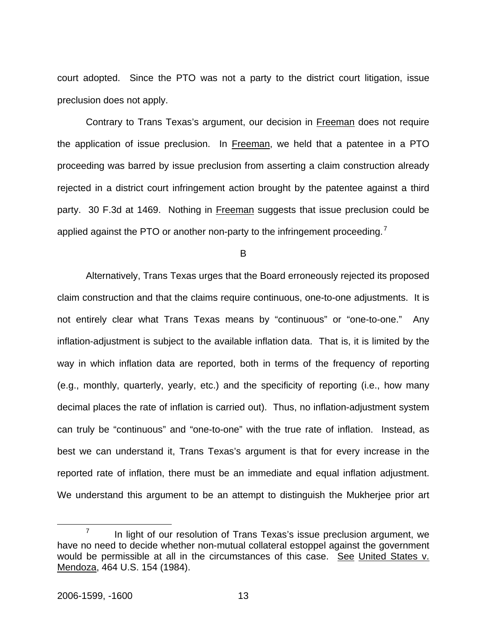court adopted. Since the PTO was not a party to the district court litigation, issue preclusion does not apply.

Contrary to Trans Texas's argument, our decision in Freeman does not require the application of issue preclusion. In Freeman, we held that a patentee in a PTO proceeding was barred by issue preclusion from asserting a claim construction already rejected in a district court infringement action brought by the patentee against a third party. 30 F.3d at 1469. Nothing in Freeman suggests that issue preclusion could be applied against the PTO or another non-party to the infringement proceeding.<sup>7</sup>

B

 Alternatively, Trans Texas urges that the Board erroneously rejected its proposed claim construction and that the claims require continuous, one-to-one adjustments. It is not entirely clear what Trans Texas means by "continuous" or "one-to-one." Any inflation-adjustment is subject to the available inflation data. That is, it is limited by the way in which inflation data are reported, both in terms of the frequency of reporting (e.g., monthly, quarterly, yearly, etc.) and the specificity of reporting (i.e., how many decimal places the rate of inflation is carried out). Thus, no inflation-adjustment system can truly be "continuous" and "one-to-one" with the true rate of inflation. Instead, as best we can understand it, Trans Texas's argument is that for every increase in the reported rate of inflation, there must be an immediate and equal inflation adjustment. We understand this argument to be an attempt to distinguish the Mukherjee prior art

 $\overline{7}$  $\frac{7}{10}$  In light of our resolution of Trans Texas's issue preclusion argument, we have no need to decide whether non-mutual collateral estoppel against the government would be permissible at all in the circumstances of this case. See United States v. Mendoza, 464 U.S. 154 (1984).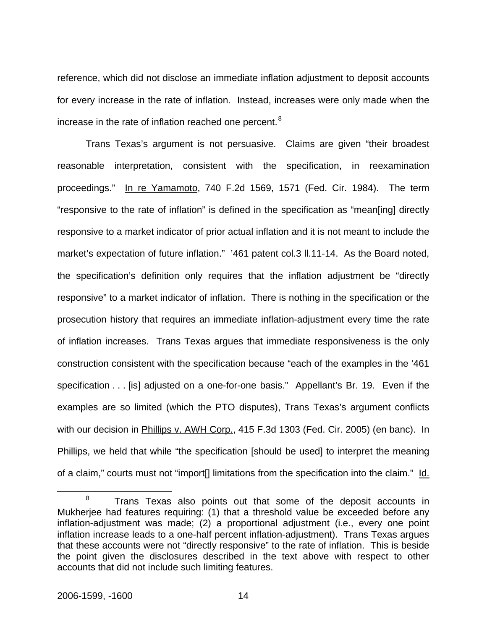reference, which did not disclose an immediate inflation adjustment to deposit accounts for every increase in the rate of inflation. Instead, increases were only made when the increase in the rate of inflation reached one percent.<sup>8</sup>

Trans Texas's argument is not persuasive. Claims are given "their broadest reasonable interpretation, consistent with the specification, in reexamination proceedings." In re Yamamoto, 740 F.2d 1569, 1571 (Fed. Cir. 1984). The term "responsive to the rate of inflation" is defined in the specification as "mean[ing] directly responsive to a market indicator of prior actual inflation and it is not meant to include the market's expectation of future inflation." '461 patent col.3 ll.11-14. As the Board noted, the specification's definition only requires that the inflation adjustment be "directly responsive" to a market indicator of inflation. There is nothing in the specification or the prosecution history that requires an immediate inflation-adjustment every time the rate of inflation increases. Trans Texas argues that immediate responsiveness is the only construction consistent with the specification because "each of the examples in the '461 specification . . . [is] adjusted on a one-for-one basis." Appellant's Br. 19. Even if the examples are so limited (which the PTO disputes), Trans Texas's argument conflicts with our decision in Phillips v. AWH Corp., 415 F.3d 1303 (Fed. Cir. 2005) (en banc). In Phillips, we held that while "the specification [should be used] to interpret the meaning of a claim," courts must not "import[] limitations from the specification into the claim." Id.

 <sup>8</sup>  $8$  Trans Texas also points out that some of the deposit accounts in Mukherjee had features requiring: (1) that a threshold value be exceeded before any inflation-adjustment was made; (2) a proportional adjustment (i.e., every one point inflation increase leads to a one-half percent inflation-adjustment). Trans Texas argues that these accounts were not "directly responsive" to the rate of inflation. This is beside the point given the disclosures described in the text above with respect to other accounts that did not include such limiting features.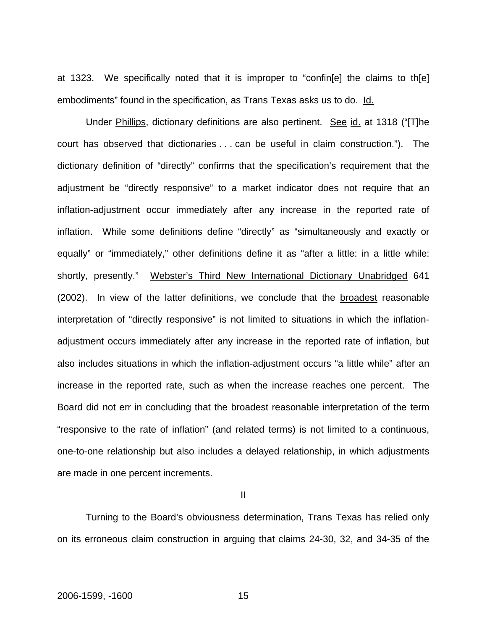at 1323. We specifically noted that it is improper to "confin[e] the claims to th[e] embodiments" found in the specification, as Trans Texas asks us to do. Id.

Under Phillips, dictionary definitions are also pertinent. See id. at 1318 ("[T]he court has observed that dictionaries . . . can be useful in claim construction."). The dictionary definition of "directly" confirms that the specification's requirement that the adjustment be "directly responsive" to a market indicator does not require that an inflation-adjustment occur immediately after any increase in the reported rate of inflation. While some definitions define "directly" as "simultaneously and exactly or equally" or "immediately," other definitions define it as "after a little: in a little while: shortly, presently." Webster's Third New International Dictionary Unabridged 641 (2002). In view of the latter definitions, we conclude that the broadest reasonable interpretation of "directly responsive" is not limited to situations in which the inflationadjustment occurs immediately after any increase in the reported rate of inflation, but also includes situations in which the inflation-adjustment occurs "a little while" after an increase in the reported rate, such as when the increase reaches one percent. The Board did not err in concluding that the broadest reasonable interpretation of the term "responsive to the rate of inflation" (and related terms) is not limited to a continuous, one-to-one relationship but also includes a delayed relationship, in which adjustments are made in one percent increments.

II

 Turning to the Board's obviousness determination, Trans Texas has relied only on its erroneous claim construction in arguing that claims 24-30, 32, and 34-35 of the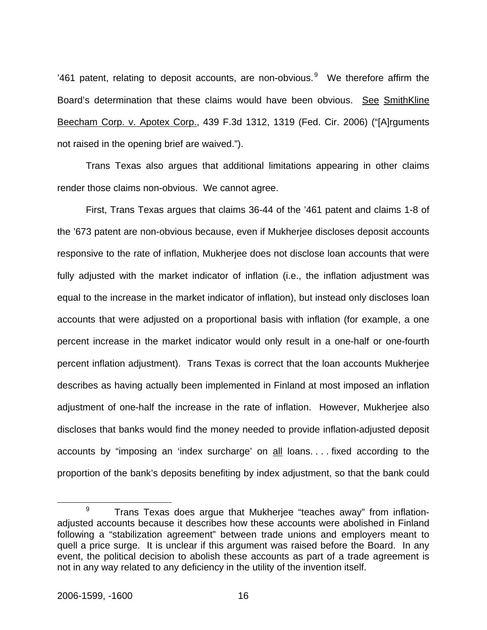'461 patent, relating to deposit accounts, are non-obvious. $9$  We therefore affirm the Board's determination that these claims would have been obvious. See SmithKline Beecham Corp. v. Apotex Corp., 439 F.3d 1312, 1319 (Fed. Cir. 2006) ("[A]rguments not raised in the opening brief are waived.").

Trans Texas also argues that additional limitations appearing in other claims render those claims non-obvious. We cannot agree.

First, Trans Texas argues that claims 36-44 of the '461 patent and claims 1-8 of the '673 patent are non-obvious because, even if Mukherjee discloses deposit accounts responsive to the rate of inflation, Mukherjee does not disclose loan accounts that were fully adjusted with the market indicator of inflation (i.e., the inflation adjustment was equal to the increase in the market indicator of inflation), but instead only discloses loan accounts that were adjusted on a proportional basis with inflation (for example, a one percent increase in the market indicator would only result in a one-half or one-fourth percent inflation adjustment). Trans Texas is correct that the loan accounts Mukherjee describes as having actually been implemented in Finland at most imposed an inflation adjustment of one-half the increase in the rate of inflation. However, Mukherjee also discloses that banks would find the money needed to provide inflation-adjusted deposit accounts by "imposing an 'index surcharge' on all loans. . . . fixed according to the proportion of the bank's deposits benefiting by index adjustment, so that the bank could

 $\frac{1}{9}$  $9$  Trans Texas does argue that Mukherjee "teaches away" from inflationadjusted accounts because it describes how these accounts were abolished in Finland following a "stabilization agreement" between trade unions and employers meant to quell a price surge. It is unclear if this argument was raised before the Board. In any event, the political decision to abolish these accounts as part of a trade agreement is not in any way related to any deficiency in the utility of the invention itself.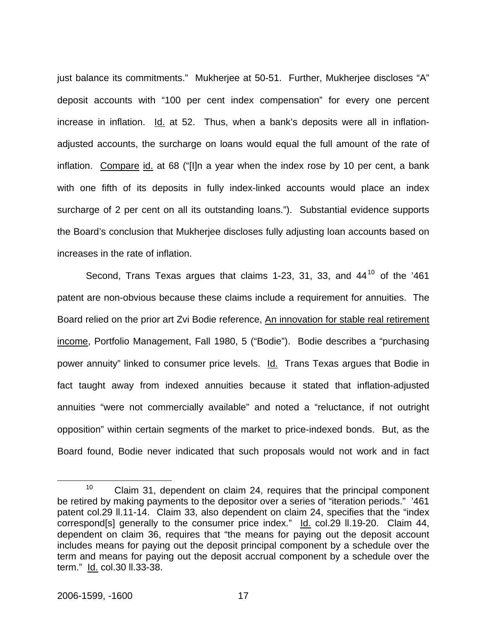just balance its commitments." Mukherjee at 50-51. Further, Mukherjee discloses "A" deposit accounts with "100 per cent index compensation" for every one percent increase in inflation. Id. at 52. Thus, when a bank's deposits were all in inflationadjusted accounts, the surcharge on loans would equal the full amount of the rate of inflation. Compare id. at 68 ("[I]n a year when the index rose by 10 per cent, a bank with one fifth of its deposits in fully index-linked accounts would place an index surcharge of 2 per cent on all its outstanding loans."). Substantial evidence supports the Board's conclusion that Mukherjee discloses fully adjusting loan accounts based on increases in the rate of inflation.

Second, Trans Texas argues that claims 1-23, 31, 33, and 44<sup>10</sup> of the '461 patent are non-obvious because these claims include a requirement for annuities. The Board relied on the prior art Zvi Bodie reference, An innovation for stable real retirement income, Portfolio Management, Fall 1980, 5 ("Bodie"). Bodie describes a "purchasing power annuity" linked to consumer price levels. Id. Trans Texas argues that Bodie in fact taught away from indexed annuities because it stated that inflation-adjusted annuities "were not commercially available" and noted a "reluctance, if not outright opposition" within certain segments of the market to price-indexed bonds. But, as the Board found, Bodie never indicated that such proposals would not work and in fact

 $10$  Claim 31, dependent on claim 24, requires that the principal component be retired by making payments to the depositor over a series of "iteration periods." '461 patent col.29 ll.11-14. Claim 33, also dependent on claim 24, specifies that the "index correspond[s] generally to the consumer price index." Id. col.29 II.19-20. Claim 44, dependent on claim 36, requires that "the means for paying out the deposit account includes means for paying out the deposit principal component by a schedule over the term and means for paying out the deposit accrual component by a schedule over the term." Id. col.30 ll.33-38.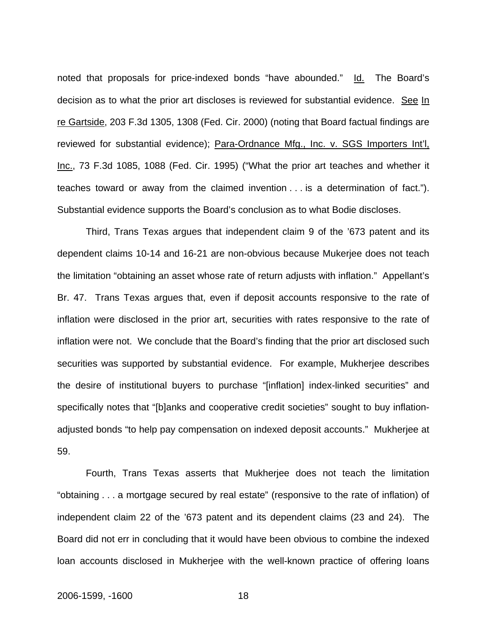noted that proposals for price-indexed bonds "have abounded." Id. The Board's decision as to what the prior art discloses is reviewed for substantial evidence. See In re Gartside, 203 F.3d 1305, 1308 (Fed. Cir. 2000) (noting that Board factual findings are reviewed for substantial evidence); Para-Ordnance Mfg., Inc. v. SGS Importers Int'l, Inc., 73 F.3d 1085, 1088 (Fed. Cir. 1995) ("What the prior art teaches and whether it teaches toward or away from the claimed invention . . . is a determination of fact."). Substantial evidence supports the Board's conclusion as to what Bodie discloses.

 Third, Trans Texas argues that independent claim 9 of the '673 patent and its dependent claims 10-14 and 16-21 are non-obvious because Mukerjee does not teach the limitation "obtaining an asset whose rate of return adjusts with inflation." Appellant's Br. 47. Trans Texas argues that, even if deposit accounts responsive to the rate of inflation were disclosed in the prior art, securities with rates responsive to the rate of inflation were not. We conclude that the Board's finding that the prior art disclosed such securities was supported by substantial evidence. For example, Mukherjee describes the desire of institutional buyers to purchase "[inflation] index-linked securities" and specifically notes that "[b]anks and cooperative credit societies" sought to buy inflationadjusted bonds "to help pay compensation on indexed deposit accounts." Mukherjee at 59.

Fourth, Trans Texas asserts that Mukherjee does not teach the limitation "obtaining . . . a mortgage secured by real estate" (responsive to the rate of inflation) of independent claim 22 of the '673 patent and its dependent claims (23 and 24). The Board did not err in concluding that it would have been obvious to combine the indexed loan accounts disclosed in Mukherjee with the well-known practice of offering loans